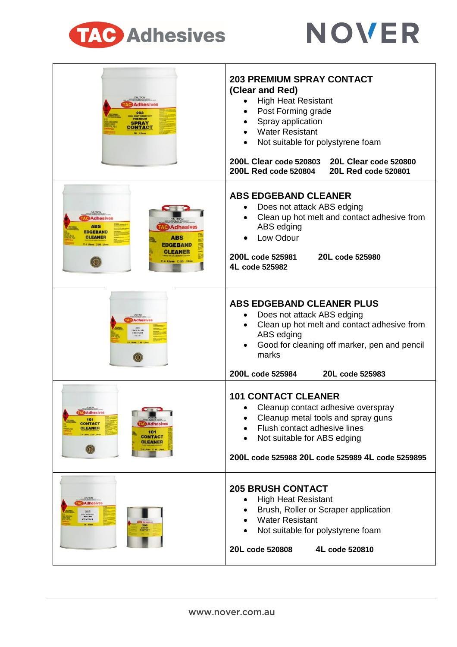



| <b>Adhesives</b><br>203<br><b>KEAT RESISTANT</b><br><b>PREMIUM</b><br>SPRAY<br>DNTACT                                                                                               | <b>203 PREMIUM SPRAY CONTACT</b><br>(Clear and Red)<br><b>High Heat Resistant</b><br>Post Forming grade<br>Spray application<br><b>Water Resistant</b><br>Not suitable for polystyrene foam<br>200L Clear code 520803<br>20L Clear code 520800<br>200L Red code 520804<br>20L Red code 520801 |
|-------------------------------------------------------------------------------------------------------------------------------------------------------------------------------------|-----------------------------------------------------------------------------------------------------------------------------------------------------------------------------------------------------------------------------------------------------------------------------------------------|
| Adhesives<br><b>ABS</b><br><b>Adhesives</b><br><b>DGEBAND</b><br><b>ABS</b><br><b>CLEANER</b><br>res [30 Litre<br>EDGEBAND<br><b>CLEANER</b><br>□ 4 Litres □ 20 Litres<br>$\left( $ | <b>ABS EDGEBAND CLEANER</b><br>Does not attack ABS edging<br>Clean up hot melt and contact adhesive from<br>ABS edging<br>Low Odour<br>200L code 525981<br>20L code 525980<br>4L code 525982                                                                                                  |
| <b>Adhesives</b><br><b>DGEBAND</b><br>CLEANER<br>TLUS.<br>$\omega$                                                                                                                  | ABS EDGEBAND CLEANER PLUS<br>Does not attack ABS edging<br>Clean up hot melt and contact adhesive from<br>ABS edging<br>Good for cleaning off marker, pen and pencil<br>marks<br>200L code 525984<br>20L code 525983                                                                          |
| <b>Adnesive</b><br>101<br><b>CONTACT</b><br><b>Adhesives</b><br>CLEANER<br>101<br><b>CONTACT</b><br><b>CLEANER</b><br>$\circ$<br>4 Litres (20 Litre                                 | <b>101 CONTACT CLEANER</b><br>Cleanup contact adhesive overspray<br>Cleanup metal tools and spray guns<br>Flush contact adhesive lines<br>Not suitable for ABS edging<br>200L code 525988 20L code 525989 4L code 5259895                                                                     |
| <b>CAUTION</b><br>Adhesives<br>205<br><b>BRUSH</b><br><b>CONTACT</b>                                                                                                                | <b>205 BRUSH CONTACT</b><br><b>High Heat Resistant</b><br>Brush, Roller or Scraper application<br><b>Water Resistant</b><br>Not suitable for polystyrene foam<br>20L code 520808<br>4L code 520810                                                                                            |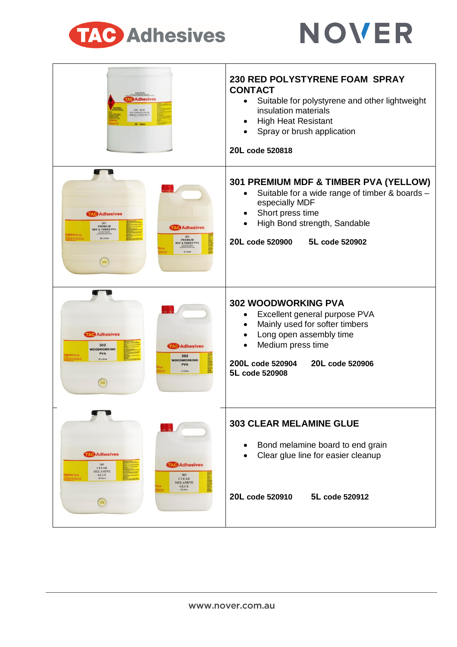



| <b>Adhesives</b><br>230 RED<br><b>RYSTYRENE FOAM</b><br><b>SPRAY CONTACT</b><br>20 Litra                                                                                         | 230 RED POLYSTYRENE FOAM SPRAY<br><b>CONTACT</b><br>Suitable for polystyrene and other lightweight<br>٠<br>insulation materials<br><b>High Heat Resistant</b><br>$\bullet$<br>Spray or brush application<br>20L code 520818                   |
|----------------------------------------------------------------------------------------------------------------------------------------------------------------------------------|-----------------------------------------------------------------------------------------------------------------------------------------------------------------------------------------------------------------------------------------------|
| <b>AC Adhesives</b><br>301<br>PREMIUM<br><b>Adhesives</b><br><b>MDF &amp; TIMBER PVA</b><br>301<br>20 Litros<br>PREMIUM<br><b>MDF &amp; TIMBER PVA</b><br>5 Litre<br><b>GIRD</b> | 301 PREMIUM MDF & TIMBER PVA (YELLOW)<br>Suitable for a wide range of timber & boards -<br>٠<br>especially MDF<br>Short press time<br>$\bullet$<br>High Bond strength, Sandable<br>20L code 520900<br>5L code 520902                          |
| <b>Adhesives</b><br>302<br><b>Adhesives</b><br><b>WOODWORKING</b><br><b>PVA</b><br>302<br>20 Litre<br><b>WOODWORKING</b><br><b>PVA</b><br>5 Litres<br><b>CONT</b>                | <b>302 WOODWORKING PVA</b><br>Excellent general purpose PVA<br>$\bullet$<br>Mainly used for softer timbers<br>$\bullet$<br>Long open assembly time<br>$\bullet$<br>Medium press time<br>20L code 520906<br>200L code 520904<br>5L code 520908 |
| <b>AC Adhesives</b><br><b>AC Adhesives</b><br>303<br><b>CLEAR</b><br><b>MELAMINE</b><br><b>GLUE</b><br>20 Literen<br><b>CLEAR</b><br><b>MELAMINE</b><br><b>GLUE</b><br>5 Litres  | <b>303 CLEAR MELAMINE GLUE</b><br>Bond melamine board to end grain<br>Clear glue line for easier cleanup<br>20L code 520910<br>5L code 520912                                                                                                 |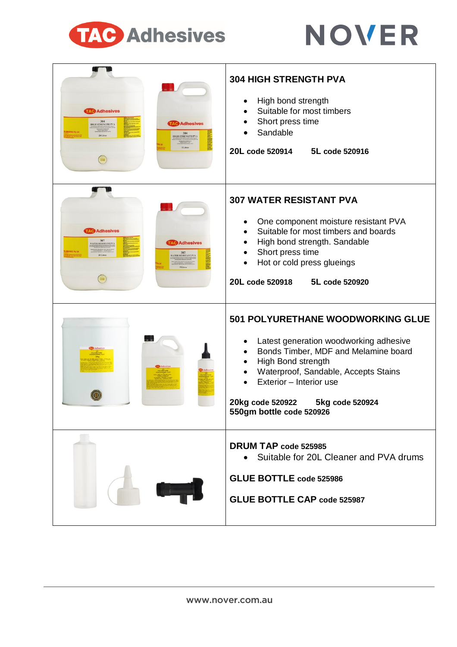



| <b>Adhesives</b><br>304<br>HIGH STRENGTH PVA<br><b>Adhesives</b><br>304<br>20 Litre<br>HIGH STRENGTH PVA        | <b>304 HIGH STRENGTH PVA</b><br>High bond strength<br>Suitable for most timbers<br>Short press time<br>Sandable<br>20L code 520914<br>5L code 520916                                                                                                                                        |
|-----------------------------------------------------------------------------------------------------------------|---------------------------------------------------------------------------------------------------------------------------------------------------------------------------------------------------------------------------------------------------------------------------------------------|
| <b>Adhesives</b><br>307<br>VATER RESISTANT PVA<br><b>AC Adhesives</b><br>307<br>WATER RESISTANT PVA<br>28 Litre | <b>307 WATER RESISTANT PVA</b><br>One component moisture resistant PVA<br>Suitable for most timbers and boards<br>$\bullet$<br>High bond strength. Sandable<br>$\bullet$<br>Short press time<br>$\bullet$<br>Hot or cold press glueings<br>20L code 520918<br>5L code 520920                |
|                                                                                                                 | <b>501 POLYURETHANE WOODWORKING GLUE</b><br>Latest generation woodworking adhesive<br>Bonds Timber, MDF and Melamine board<br>High Bond strength<br>٠<br>Waterproof, Sandable, Accepts Stains<br>Exterior - Interior use<br>20kg code 520922<br>5kg code 520924<br>550gm bottle code 520926 |
|                                                                                                                 | DRUM TAP code 525985<br>Suitable for 20L Cleaner and PVA drums<br><b>GLUE BOTTLE code 525986</b><br><b>GLUE BOTTLE CAP code 525987</b>                                                                                                                                                      |